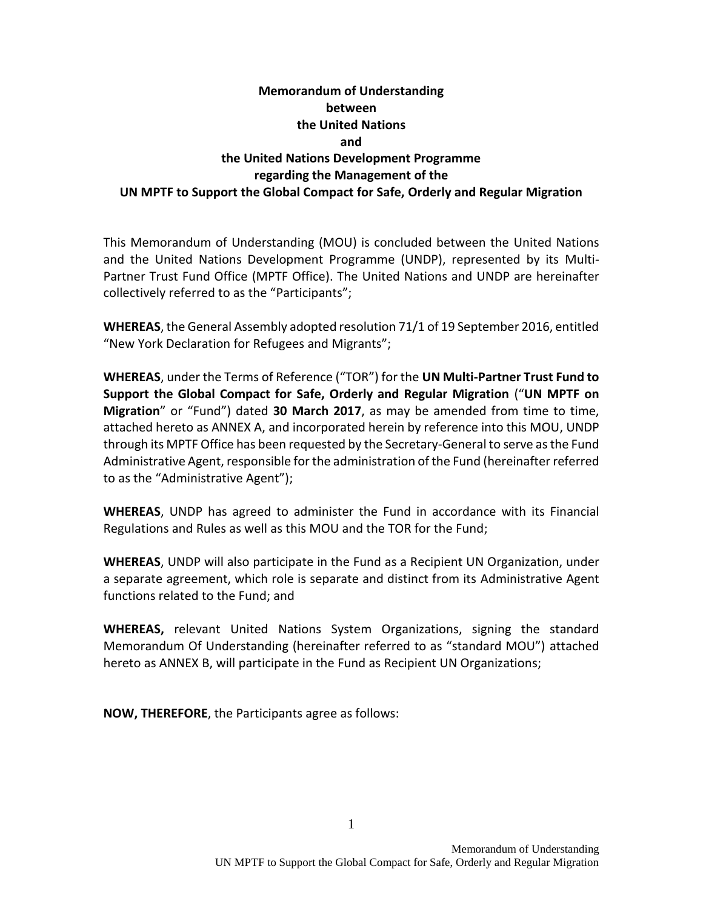# **Memorandum of Understanding between the United Nations and the United Nations Development Programme regarding the Management of the UN MPTF to Support the Global Compact for Safe, Orderly and Regular Migration**

This Memorandum of Understanding (MOU) is concluded between the United Nations and the United Nations Development Programme (UNDP), represented by its Multi-Partner Trust Fund Office (MPTF Office). The United Nations and UNDP are hereinafter collectively referred to as the "Participants";

**WHEREAS**, the General Assembly adopted resolution 71/1 of 19 September 2016, entitled "New York Declaration for Refugees and Migrants";

**WHEREAS**, under the Terms of Reference ("TOR") for the **UN Multi-Partner Trust Fund to Support the Global Compact for Safe, Orderly and Regular Migration** ("**UN MPTF on Migration**" or "Fund") dated **30 March 2017**, as may be amended from time to time, attached hereto as ANNEX A, and incorporated herein by reference into this MOU, UNDP through its MPTF Office has been requested by the Secretary-General to serve as the Fund Administrative Agent, responsible for the administration of the Fund (hereinafter referred to as the "Administrative Agent");

**WHEREAS**, UNDP has agreed to administer the Fund in accordance with its Financial Regulations and Rules as well as this MOU and the TOR for the Fund;

**WHEREAS**, UNDP will also participate in the Fund as a Recipient UN Organization, under a separate agreement, which role is separate and distinct from its Administrative Agent functions related to the Fund; and

**WHEREAS,** relevant United Nations System Organizations, signing the standard Memorandum Of Understanding (hereinafter referred to as "standard MOU") attached hereto as ANNEX B, will participate in the Fund as Recipient UN Organizations;

**NOW, THEREFORE**, the Participants agree as follows: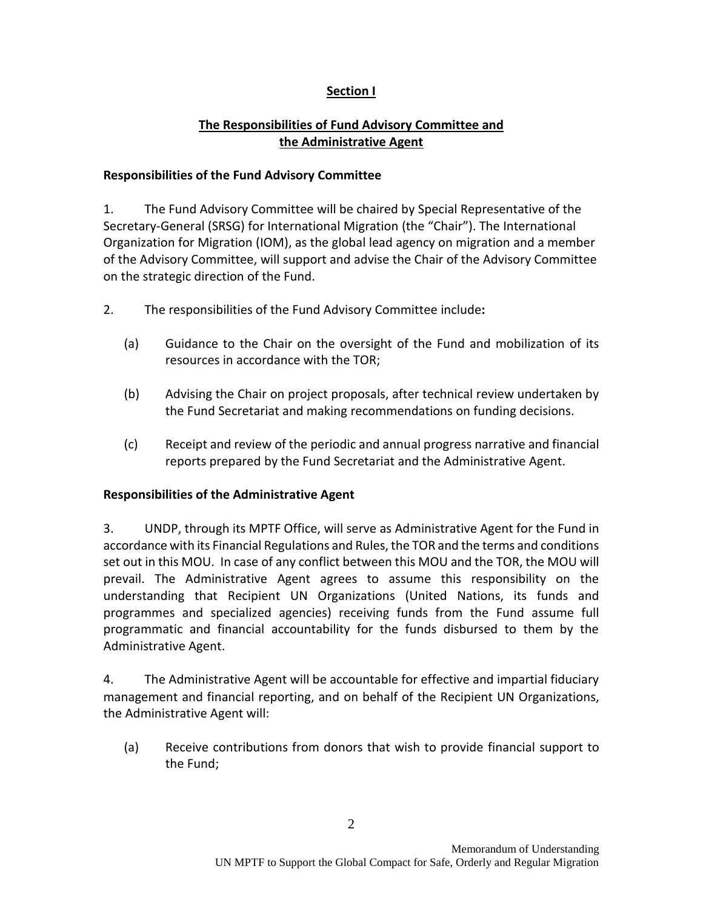# **Section I**

# **The Responsibilities of Fund Advisory Committee and the Administrative Agent**

#### **Responsibilities of the Fund Advisory Committee**

1. The Fund Advisory Committee will be chaired by Special Representative of the Secretary-General (SRSG) for International Migration (the "Chair"). The International Organization for Migration (IOM), as the global lead agency on migration and a member of the Advisory Committee, will support and advise the Chair of the Advisory Committee on the strategic direction of the Fund.

- 2. The responsibilities of the Fund Advisory Committee include**:** 
	- (a) Guidance to the Chair on the oversight of the Fund and mobilization of its resources in accordance with the TOR;
	- (b) Advising the Chair on project proposals, after technical review undertaken by the Fund Secretariat and making recommendations on funding decisions.
	- (c) Receipt and review of the periodic and annual progress narrative and financial reports prepared by the Fund Secretariat and the Administrative Agent.

## **Responsibilities of the Administrative Agent**

3. UNDP, through its MPTF Office, will serve as Administrative Agent for the Fund in accordance with its Financial Regulations and Rules, the TOR and the terms and conditions set out in this MOU. In case of any conflict between this MOU and the TOR, the MOU will prevail. The Administrative Agent agrees to assume this responsibility on the understanding that Recipient UN Organizations (United Nations, its funds and programmes and specialized agencies) receiving funds from the Fund assume full programmatic and financial accountability for the funds disbursed to them by the Administrative Agent.

4. The Administrative Agent will be accountable for effective and impartial fiduciary management and financial reporting, and on behalf of the Recipient UN Organizations, the Administrative Agent will:

(a) Receive contributions from donors that wish to provide financial support to the Fund;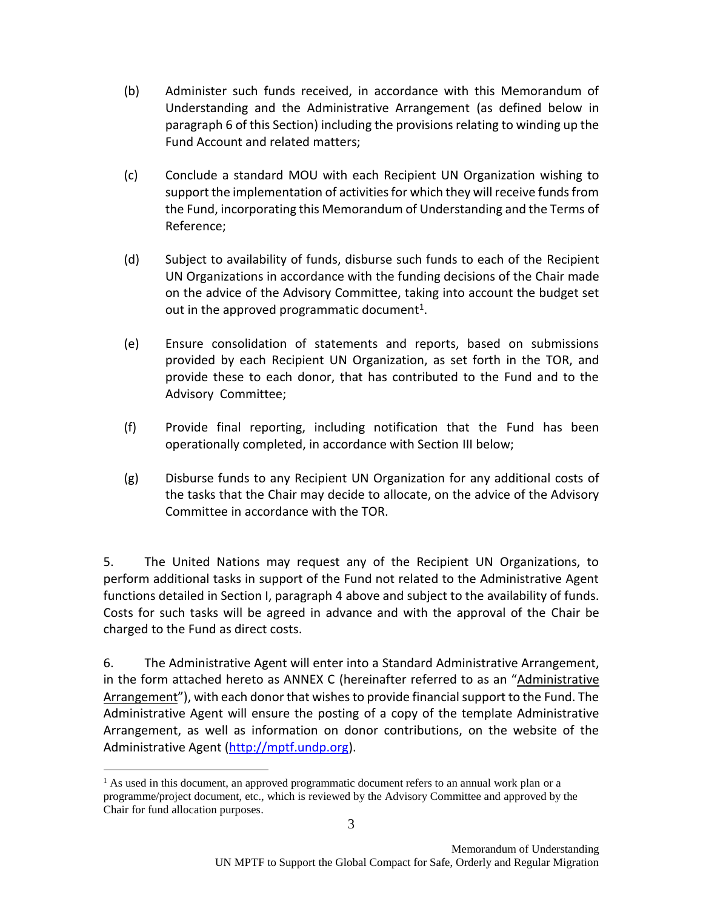- (b) Administer such funds received, in accordance with this Memorandum of Understanding and the Administrative Arrangement (as defined below in paragraph 6 of this Section) including the provisions relating to winding up the Fund Account and related matters;
- (c) Conclude a standard MOU with each Recipient UN Organization wishing to support the implementation of activities for which they will receive funds from the Fund, incorporating this Memorandum of Understanding and the Terms of Reference;
- (d) Subject to availability of funds, disburse such funds to each of the Recipient UN Organizations in accordance with the funding decisions of the Chair made on the advice of the Advisory Committee, taking into account the budget set out in the approved programmatic document<sup>1</sup>.
- (e) Ensure consolidation of statements and reports, based on submissions provided by each Recipient UN Organization, as set forth in the TOR, and provide these to each donor, that has contributed to the Fund and to the Advisory Committee;
- (f) Provide final reporting, including notification that the Fund has been operationally completed, in accordance with Section III below;
- (g) Disburse funds to any Recipient UN Organization for any additional costs of the tasks that the Chair may decide to allocate, on the advice of the Advisory Committee in accordance with the TOR.

5. The United Nations may request any of the Recipient UN Organizations, to perform additional tasks in support of the Fund not related to the Administrative Agent functions detailed in Section I, paragraph 4 above and subject to the availability of funds. Costs for such tasks will be agreed in advance and with the approval of the Chair be charged to the Fund as direct costs.

6. The Administrative Agent will enter into a Standard Administrative Arrangement, in the form attached hereto as ANNEX C (hereinafter referred to as an "Administrative Arrangement"), with each donor that wishes to provide financial support to the Fund. The Administrative Agent will ensure the posting of a copy of the template Administrative Arrangement, as well as information on donor contributions, on the website of the Administrative Agent [\(http://mptf.undp.org\)](http://mptf.undp.org/).

 $\overline{a}$ 

<sup>3</sup>  $<sup>1</sup>$  As used in this document, an approved programmatic document refers to an annual work plan or a</sup> programme/project document, etc., which is reviewed by the Advisory Committee and approved by the Chair for fund allocation purposes.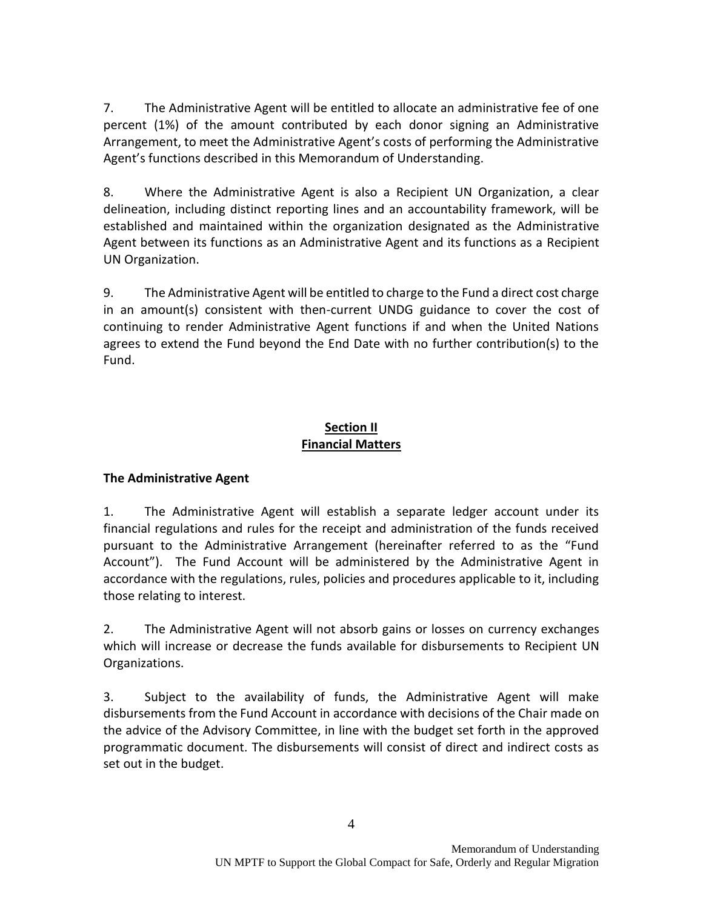7. The Administrative Agent will be entitled to allocate an administrative fee of one percent (1%) of the amount contributed by each donor signing an Administrative Arrangement, to meet the Administrative Agent's costs of performing the Administrative Agent's functions described in this Memorandum of Understanding.

8. Where the Administrative Agent is also a Recipient UN Organization, a clear delineation, including distinct reporting lines and an accountability framework, will be established and maintained within the organization designated as the Administrative Agent between its functions as an Administrative Agent and its functions as a Recipient UN Organization.

9. The Administrative Agent will be entitled to charge to the Fund a direct cost charge in an amount(s) consistent with then-current UNDG guidance to cover the cost of continuing to render Administrative Agent functions if and when the United Nations agrees to extend the Fund beyond the End Date with no further contribution(s) to the Fund.

# **Section II Financial Matters**

# **The Administrative Agent**

1. The Administrative Agent will establish a separate ledger account under its financial regulations and rules for the receipt and administration of the funds received pursuant to the Administrative Arrangement (hereinafter referred to as the "Fund Account"). The Fund Account will be administered by the Administrative Agent in accordance with the regulations, rules, policies and procedures applicable to it, including those relating to interest.

2. The Administrative Agent will not absorb gains or losses on currency exchanges which will increase or decrease the funds available for disbursements to Recipient UN Organizations.

3. Subject to the availability of funds, the Administrative Agent will make disbursements from the Fund Account in accordance with decisions of the Chair made on the advice of the Advisory Committee, in line with the budget set forth in the approved programmatic document. The disbursements will consist of direct and indirect costs as set out in the budget.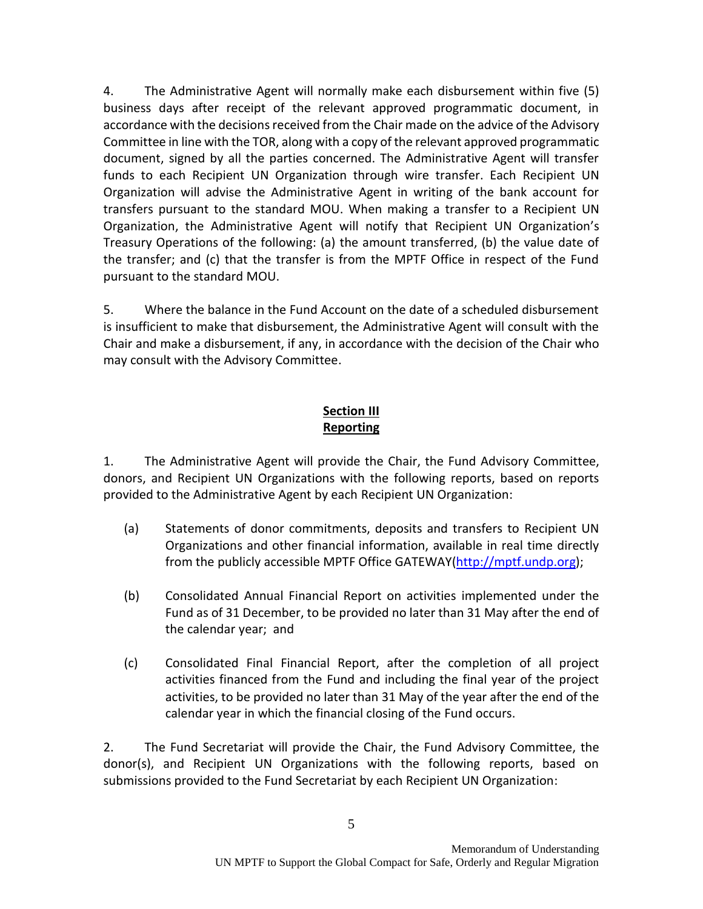4. The Administrative Agent will normally make each disbursement within five (5) business days after receipt of the relevant approved programmatic document, in accordance with the decisions received from the Chair made on the advice of the Advisory Committee in line with the TOR, along with a copy of the relevant approved programmatic document, signed by all the parties concerned. The Administrative Agent will transfer funds to each Recipient UN Organization through wire transfer. Each Recipient UN Organization will advise the Administrative Agent in writing of the bank account for transfers pursuant to the standard MOU. When making a transfer to a Recipient UN Organization, the Administrative Agent will notify that Recipient UN Organization's Treasury Operations of the following: (a) the amount transferred, (b) the value date of the transfer; and (c) that the transfer is from the MPTF Office in respect of the Fund pursuant to the standard MOU.

5. Where the balance in the Fund Account on the date of a scheduled disbursement is insufficient to make that disbursement, the Administrative Agent will consult with the Chair and make a disbursement, if any, in accordance with the decision of the Chair who may consult with the Advisory Committee.

# **Section III Reporting**

1. The Administrative Agent will provide the Chair, the Fund Advisory Committee, donors, and Recipient UN Organizations with the following reports, based on reports provided to the Administrative Agent by each Recipient UN Organization:

- (a) Statements of donor commitments, deposits and transfers to Recipient UN Organizations and other financial information, available in real time directly from the publicly accessible MPTF Office GATEWAY[\(http://mptf.undp.org\)](http://mptf.undp.org/);
- (b) Consolidated Annual Financial Report on activities implemented under the Fund as of 31 December, to be provided no later than 31 May after the end of the calendar year; and
- (c) Consolidated Final Financial Report, after the completion of all project activities financed from the Fund and including the final year of the project activities, to be provided no later than 31 May of the year after the end of the calendar year in which the financial closing of the Fund occurs.

2. The Fund Secretariat will provide the Chair, the Fund Advisory Committee, the donor(s), and Recipient UN Organizations with the following reports, based on submissions provided to the Fund Secretariat by each Recipient UN Organization: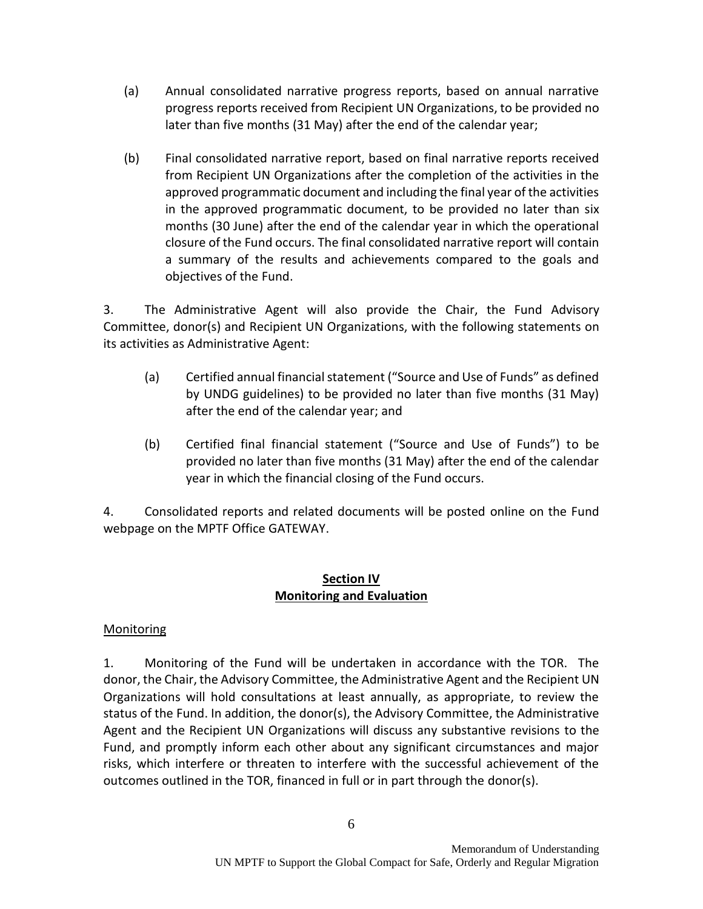- (a) Annual consolidated narrative progress reports, based on annual narrative progress reports received from Recipient UN Organizations, to be provided no later than five months (31 May) after the end of the calendar year;
- (b) Final consolidated narrative report, based on final narrative reports received from Recipient UN Organizations after the completion of the activities in the approved programmatic document and including the final year of the activities in the approved programmatic document, to be provided no later than six months (30 June) after the end of the calendar year in which the operational closure of the Fund occurs. The final consolidated narrative report will contain a summary of the results and achievements compared to the goals and objectives of the Fund.

3. The Administrative Agent will also provide the Chair, the Fund Advisory Committee, donor(s) and Recipient UN Organizations, with the following statements on its activities as Administrative Agent:

- (a) Certified annual financial statement ("Source and Use of Funds" as defined by UNDG guidelines) to be provided no later than five months (31 May) after the end of the calendar year; and
- (b) Certified final financial statement ("Source and Use of Funds") to be provided no later than five months (31 May) after the end of the calendar year in which the financial closing of the Fund occurs.

4. Consolidated reports and related documents will be posted online on the Fund webpage on the MPTF Office GATEWAY.

#### **Section IV Monitoring and Evaluation**

## Monitoring

1. Monitoring of the Fund will be undertaken in accordance with the TOR. The donor, the Chair, the Advisory Committee, the Administrative Agent and the Recipient UN Organizations will hold consultations at least annually, as appropriate, to review the status of the Fund. In addition, the donor(s), the Advisory Committee, the Administrative Agent and the Recipient UN Organizations will discuss any substantive revisions to the Fund, and promptly inform each other about any significant circumstances and major risks, which interfere or threaten to interfere with the successful achievement of the outcomes outlined in the TOR, financed in full or in part through the donor(s).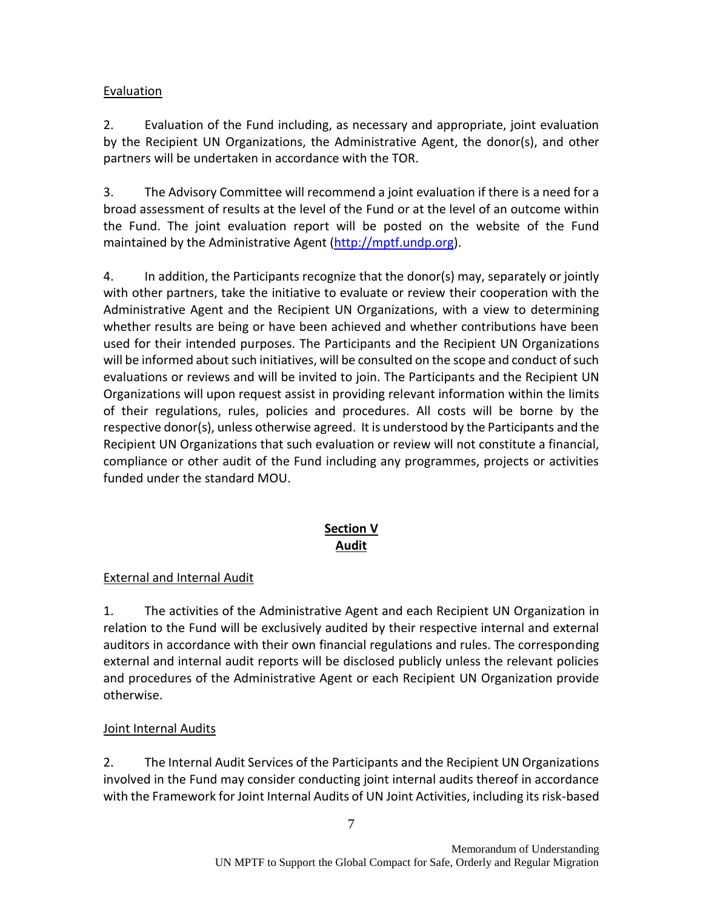# Evaluation

2. Evaluation of the Fund including, as necessary and appropriate, joint evaluation by the Recipient UN Organizations, the Administrative Agent, the donor(s), and other partners will be undertaken in accordance with the TOR.

3. The Advisory Committee will recommend a joint evaluation if there is a need for a broad assessment of results at the level of the Fund or at the level of an outcome within the Fund. The joint evaluation report will be posted on the website of the Fund maintained by the Administrative Agent [\(http://mptf.undp.org\)](http://mptf.undp.org/).

4. In addition, the Participants recognize that the donor(s) may, separately or jointly with other partners, take the initiative to evaluate or review their cooperation with the Administrative Agent and the Recipient UN Organizations, with a view to determining whether results are being or have been achieved and whether contributions have been used for their intended purposes. The Participants and the Recipient UN Organizations will be informed about such initiatives, will be consulted on the scope and conduct of such evaluations or reviews and will be invited to join. The Participants and the Recipient UN Organizations will upon request assist in providing relevant information within the limits of their regulations, rules, policies and procedures. All costs will be borne by the respective donor(s), unless otherwise agreed. It is understood by the Participants and the Recipient UN Organizations that such evaluation or review will not constitute a financial, compliance or other audit of the Fund including any programmes, projects or activities funded under the standard MOU.

# **Section V Audit**

# External and Internal Audit

1. The activities of the Administrative Agent and each Recipient UN Organization in relation to the Fund will be exclusively audited by their respective internal and external auditors in accordance with their own financial regulations and rules. The corresponding external and internal audit reports will be disclosed publicly unless the relevant policies and procedures of the Administrative Agent or each Recipient UN Organization provide otherwise.

## Joint Internal Audits

2. The Internal Audit Services of the Participants and the Recipient UN Organizations involved in the Fund may consider conducting joint internal audits thereof in accordance with the Framework for Joint Internal Audits of UN Joint Activities, including its risk-based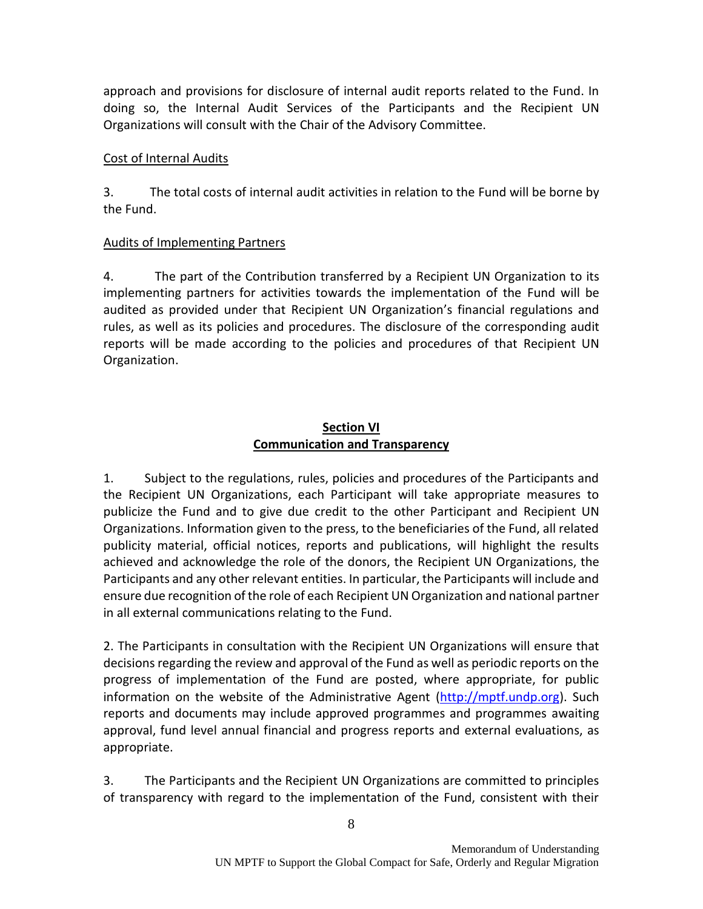approach and provisions for disclosure of internal audit reports related to the Fund. In doing so, the Internal Audit Services of the Participants and the Recipient UN Organizations will consult with the Chair of the Advisory Committee.

#### Cost of Internal Audits

3. The total costs of internal audit activities in relation to the Fund will be borne by the Fund.

## Audits of Implementing Partners

4. The part of the Contribution transferred by a Recipient UN Organization to its implementing partners for activities towards the implementation of the Fund will be audited as provided under that Recipient UN Organization's financial regulations and rules, as well as its policies and procedures. The disclosure of the corresponding audit reports will be made according to the policies and procedures of that Recipient UN Organization.

#### **Section VI Communication and Transparency**

1. Subject to the regulations, rules, policies and procedures of the Participants and the Recipient UN Organizations, each Participant will take appropriate measures to publicize the Fund and to give due credit to the other Participant and Recipient UN Organizations. Information given to the press, to the beneficiaries of the Fund, all related publicity material, official notices, reports and publications, will highlight the results achieved and acknowledge the role of the donors, the Recipient UN Organizations, the Participants and any other relevant entities. In particular, the Participants will include and ensure due recognition of the role of each Recipient UN Organization and national partner in all external communications relating to the Fund.

2. The Participants in consultation with the Recipient UN Organizations will ensure that decisions regarding the review and approval of the Fund as well as periodic reports on the progress of implementation of the Fund are posted, where appropriate, for public information on the website of the Administrative Agent [\(http://mptf.undp.org\)](http://mptf.undp.org/). Such reports and documents may include approved programmes and programmes awaiting approval, fund level annual financial and progress reports and external evaluations, as appropriate.

3. The Participants and the Recipient UN Organizations are committed to principles of transparency with regard to the implementation of the Fund, consistent with their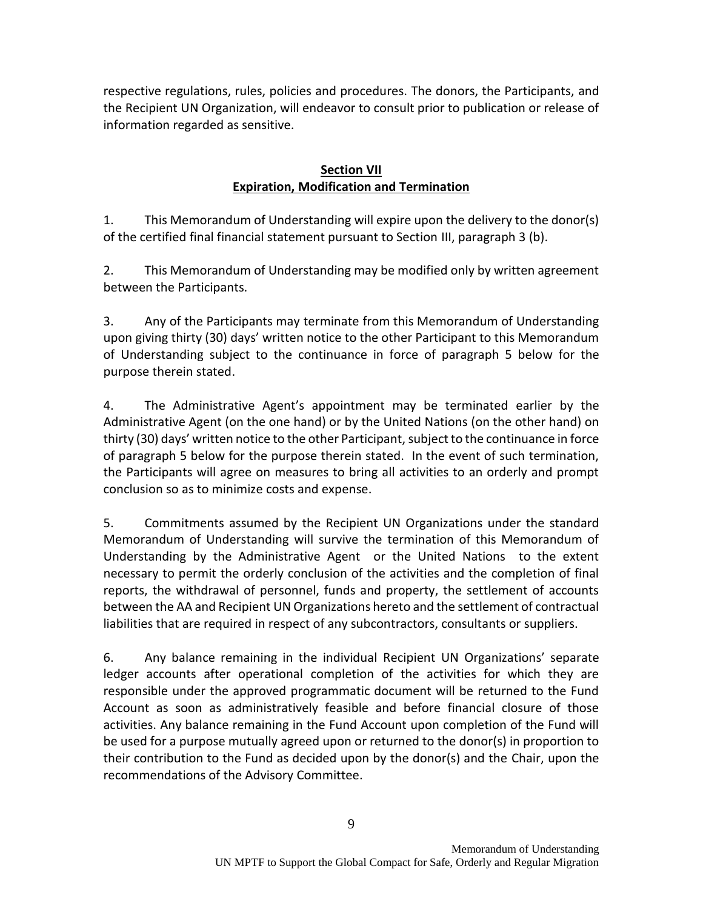respective regulations, rules, policies and procedures. The donors, the Participants, and the Recipient UN Organization, will endeavor to consult prior to publication or release of information regarded as sensitive.

# **Section VII Expiration, Modification and Termination**

1. This Memorandum of Understanding will expire upon the delivery to the donor(s) of the certified final financial statement pursuant to Section III, paragraph 3 (b).

2. This Memorandum of Understanding may be modified only by written agreement between the Participants.

3. Any of the Participants may terminate from this Memorandum of Understanding upon giving thirty (30) days' written notice to the other Participant to this Memorandum of Understanding subject to the continuance in force of paragraph 5 below for the purpose therein stated.

4. The Administrative Agent's appointment may be terminated earlier by the Administrative Agent (on the one hand) or by the United Nations (on the other hand) on thirty (30) days' written notice to the other Participant, subject to the continuance in force of paragraph 5 below for the purpose therein stated. In the event of such termination, the Participants will agree on measures to bring all activities to an orderly and prompt conclusion so as to minimize costs and expense.

5. Commitments assumed by the Recipient UN Organizations under the standard Memorandum of Understanding will survive the termination of this Memorandum of Understanding by the Administrative Agent or the United Nations to the extent necessary to permit the orderly conclusion of the activities and the completion of final reports, the withdrawal of personnel, funds and property, the settlement of accounts between the AA and Recipient UN Organizations hereto and the settlement of contractual liabilities that are required in respect of any subcontractors, consultants or suppliers.

6. Any balance remaining in the individual Recipient UN Organizations' separate ledger accounts after operational completion of the activities for which they are responsible under the approved programmatic document will be returned to the Fund Account as soon as administratively feasible and before financial closure of those activities. Any balance remaining in the Fund Account upon completion of the Fund will be used for a purpose mutually agreed upon or returned to the donor(s) in proportion to their contribution to the Fund as decided upon by the donor(s) and the Chair, upon the recommendations of the Advisory Committee.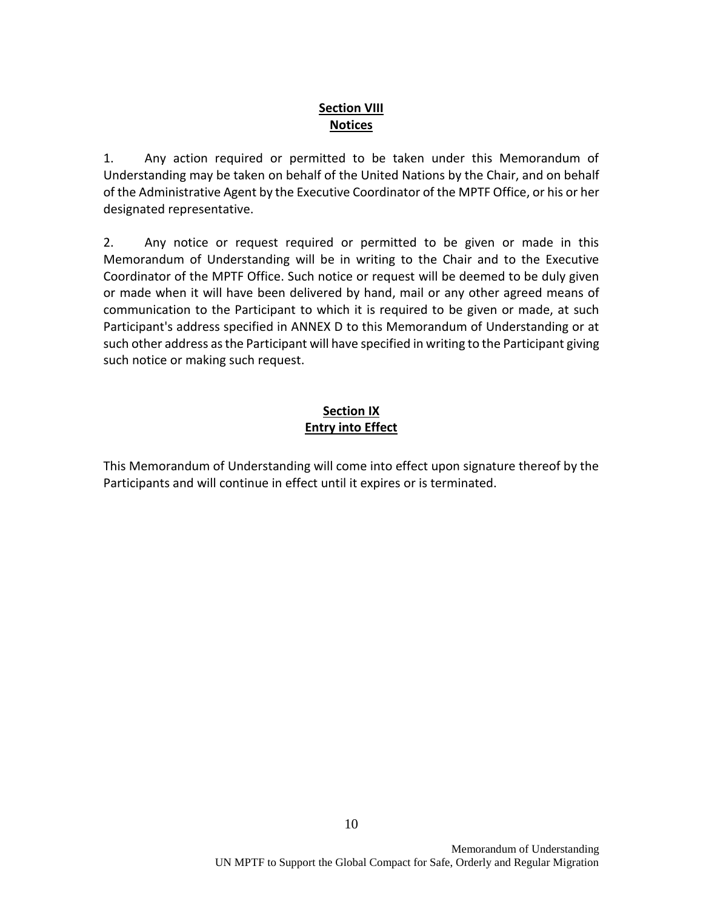#### **Section VIII Notices**

1. Any action required or permitted to be taken under this Memorandum of Understanding may be taken on behalf of the United Nations by the Chair, and on behalf of the Administrative Agent by the Executive Coordinator of the MPTF Office, or his or her designated representative.

2. Any notice or request required or permitted to be given or made in this Memorandum of Understanding will be in writing to the Chair and to the Executive Coordinator of the MPTF Office. Such notice or request will be deemed to be duly given or made when it will have been delivered by hand, mail or any other agreed means of communication to the Participant to which it is required to be given or made, at such Participant's address specified in ANNEX D to this Memorandum of Understanding or at such other address as the Participant will have specified in writing to the Participant giving such notice or making such request.

# **Section IX Entry into Effect**

This Memorandum of Understanding will come into effect upon signature thereof by the Participants and will continue in effect until it expires or is terminated.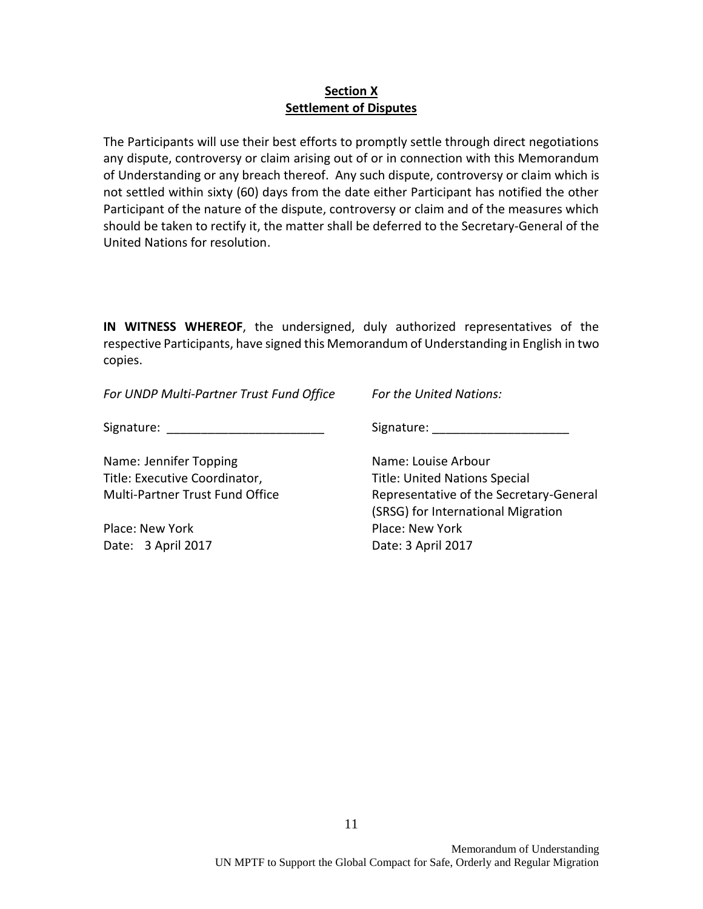#### **Section X Settlement of Disputes**

The Participants will use their best efforts to promptly settle through direct negotiations any dispute, controversy or claim arising out of or in connection with this Memorandum of Understanding or any breach thereof. Any such dispute, controversy or claim which is not settled within sixty (60) days from the date either Participant has notified the other Participant of the nature of the dispute, controversy or claim and of the measures which should be taken to rectify it, the matter shall be deferred to the Secretary-General of the United Nations for resolution.

**IN WITNESS WHEREOF**, the undersigned, duly authorized representatives of the respective Participants, have signed this Memorandum of Understanding in English in two copies.

*For UNDP Multi-Partner Trust Fund Office For the United Nations:*

Signature: The contract of the Signature:  $\sim$  Signature:  $\sim$  Signature:  $\sim$  2007.

Name: Jennifer Topping Name: Louise Arbour Title: Executive Coordinator, Title: United Nations Special

Place: New York **Place: New York** Place: New York Date: 3 April 2017 Date: 3 April 2017

Multi-Partner Trust Fund Office Representative of the Secretary-General (SRSG) for International Migration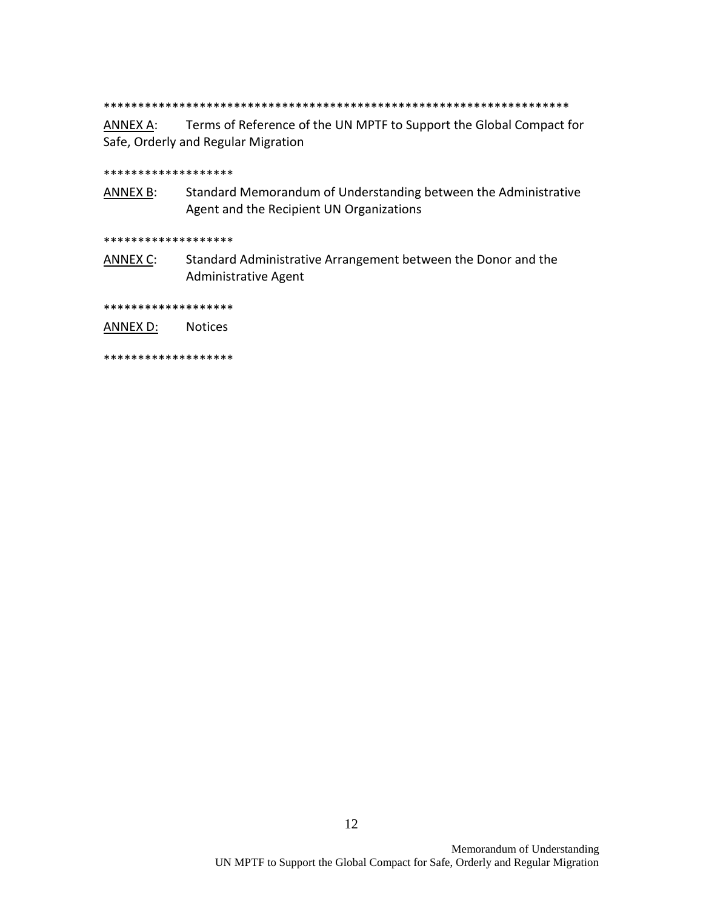\*\*\*\*\*\*\*\*\*\*\*\*\*\*\*\*\*\*\*\*\*\*\*\*\*\*\*\*\*\*\*\*\*\*\*\*\*\*\*\*\*\*\*\*\*\*\*\*\*\*\*\*\*\*\*\*\*\*\*\*\*\*\*\*\*\*\*\*

ANNEX A: Terms of Reference of the UN MPTF to Support the Global Compact for Safe, Orderly and Regular Migration

#### \*\*\*\*\*\*\*\*\*\*\*\*\*\*\*\*\*\*\*

ANNEX B: Standard Memorandum of Understanding between the Administrative Agent and the Recipient UN Organizations

\*\*\*\*\*\*\*\*\*\*\*\*\*\*\*\*\*\*\*

ANNEX C: Standard Administrative Arrangement between the Donor and the Administrative Agent

\*\*\*\*\*\*\*\*\*\*\*\*\*\*\*\*\*\*\*

ANNEX D: Notices

\*\*\*\*\*\*\*\*\*\*\*\*\*\*\*\*\*\*\*